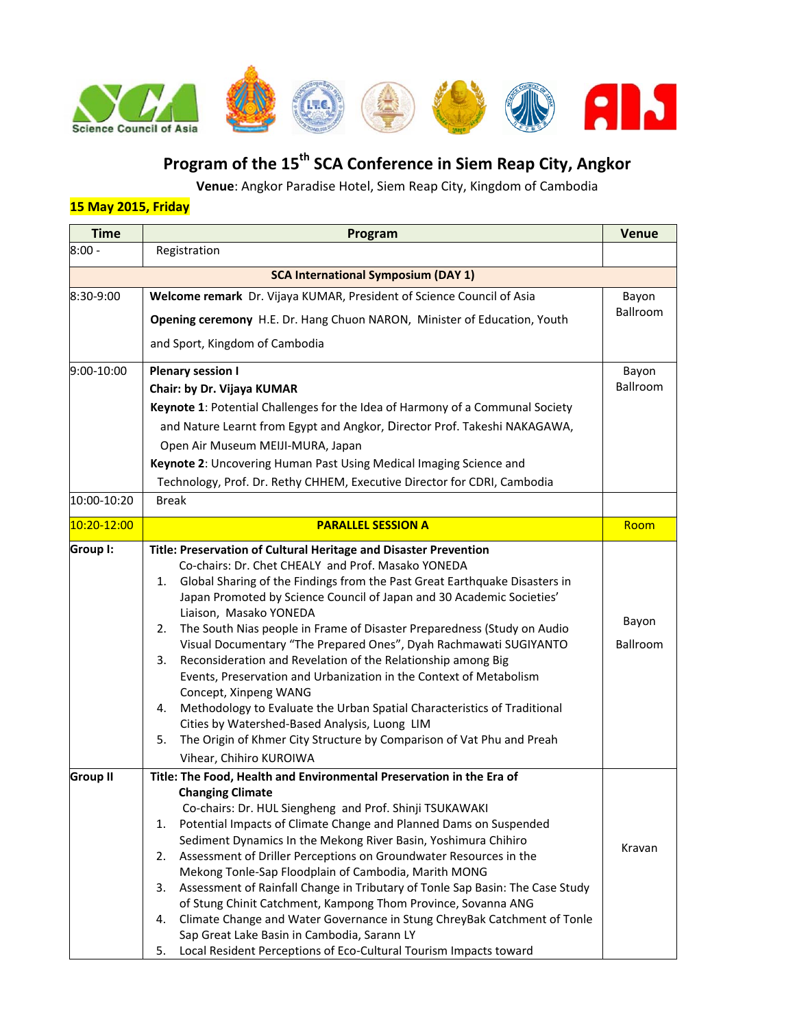

# **Program of the 15th SCA Conference in Siem Reap City, Angkor**

**Venue**: Angkor Paradise Hotel, Siem Reap City, Kingdom of Cambodia

## **15 May 2015, Friday**

| <b>Time</b>     | Program                                                                                                                                                                                                                                                                                                                                                                                                                                                                                                                                                                                                                                                                                                                                                                                                                                                                            | <b>Venue</b>      |
|-----------------|------------------------------------------------------------------------------------------------------------------------------------------------------------------------------------------------------------------------------------------------------------------------------------------------------------------------------------------------------------------------------------------------------------------------------------------------------------------------------------------------------------------------------------------------------------------------------------------------------------------------------------------------------------------------------------------------------------------------------------------------------------------------------------------------------------------------------------------------------------------------------------|-------------------|
| $8:00 -$        | Registration                                                                                                                                                                                                                                                                                                                                                                                                                                                                                                                                                                                                                                                                                                                                                                                                                                                                       |                   |
|                 | <b>SCA International Symposium (DAY 1)</b>                                                                                                                                                                                                                                                                                                                                                                                                                                                                                                                                                                                                                                                                                                                                                                                                                                         |                   |
| 8:30-9:00       | Welcome remark Dr. Vijaya KUMAR, President of Science Council of Asia<br>Opening ceremony H.E. Dr. Hang Chuon NARON, Minister of Education, Youth<br>and Sport, Kingdom of Cambodia                                                                                                                                                                                                                                                                                                                                                                                                                                                                                                                                                                                                                                                                                                | Bayon<br>Ballroom |
| 9:00-10:00      | <b>Plenary session I</b><br>Chair: by Dr. Vijaya KUMAR<br>Keynote 1: Potential Challenges for the Idea of Harmony of a Communal Society<br>and Nature Learnt from Egypt and Angkor, Director Prof. Takeshi NAKAGAWA,<br>Open Air Museum MEIJI-MURA, Japan<br>Keynote 2: Uncovering Human Past Using Medical Imaging Science and<br>Technology, Prof. Dr. Rethy CHHEM, Executive Director for CDRI, Cambodia                                                                                                                                                                                                                                                                                                                                                                                                                                                                        | Bayon<br>Ballroom |
| 10:00-10:20     | <b>Break</b>                                                                                                                                                                                                                                                                                                                                                                                                                                                                                                                                                                                                                                                                                                                                                                                                                                                                       |                   |
| 10:20-12:00     | <b>PARALLEL SESSION A</b>                                                                                                                                                                                                                                                                                                                                                                                                                                                                                                                                                                                                                                                                                                                                                                                                                                                          | Room              |
| Group I:        | Title: Preservation of Cultural Heritage and Disaster Prevention<br>Co-chairs: Dr. Chet CHEALY and Prof. Masako YONEDA<br>1. Global Sharing of the Findings from the Past Great Earthquake Disasters in<br>Japan Promoted by Science Council of Japan and 30 Academic Societies'<br>Liaison, Masako YONEDA<br>The South Nias people in Frame of Disaster Preparedness (Study on Audio<br>2.<br>Visual Documentary "The Prepared Ones", Dyah Rachmawati SUGIYANTO<br>Reconsideration and Revelation of the Relationship among Big<br>3.<br>Events, Preservation and Urbanization in the Context of Metabolism<br>Concept, Xinpeng WANG<br>Methodology to Evaluate the Urban Spatial Characteristics of Traditional<br>4.<br>Cities by Watershed-Based Analysis, Luong LIM<br>The Origin of Khmer City Structure by Comparison of Vat Phu and Preah<br>5.<br>Vihear, Chihiro KUROIWA | Bayon<br>Ballroom |
| <b>Group II</b> | Title: The Food, Health and Environmental Preservation in the Era of<br><b>Changing Climate</b><br>Co-chairs: Dr. HUL Siengheng and Prof. Shinji TSUKAWAKI<br>Potential Impacts of Climate Change and Planned Dams on Suspended<br>1.<br>Sediment Dynamics In the Mekong River Basin, Yoshimura Chihiro<br>Assessment of Driller Perceptions on Groundwater Resources in the<br>2.<br>Mekong Tonle-Sap Floodplain of Cambodia, Marith MONG<br>Assessment of Rainfall Change in Tributary of Tonle Sap Basin: The Case Study<br>3.<br>of Stung Chinit Catchment, Kampong Thom Province, Sovanna ANG<br>Climate Change and Water Governance in Stung ChreyBak Catchment of Tonle<br>4.<br>Sap Great Lake Basin in Cambodia, Sarann LY<br>Local Resident Perceptions of Eco-Cultural Tourism Impacts toward<br>5.                                                                     | Kravan            |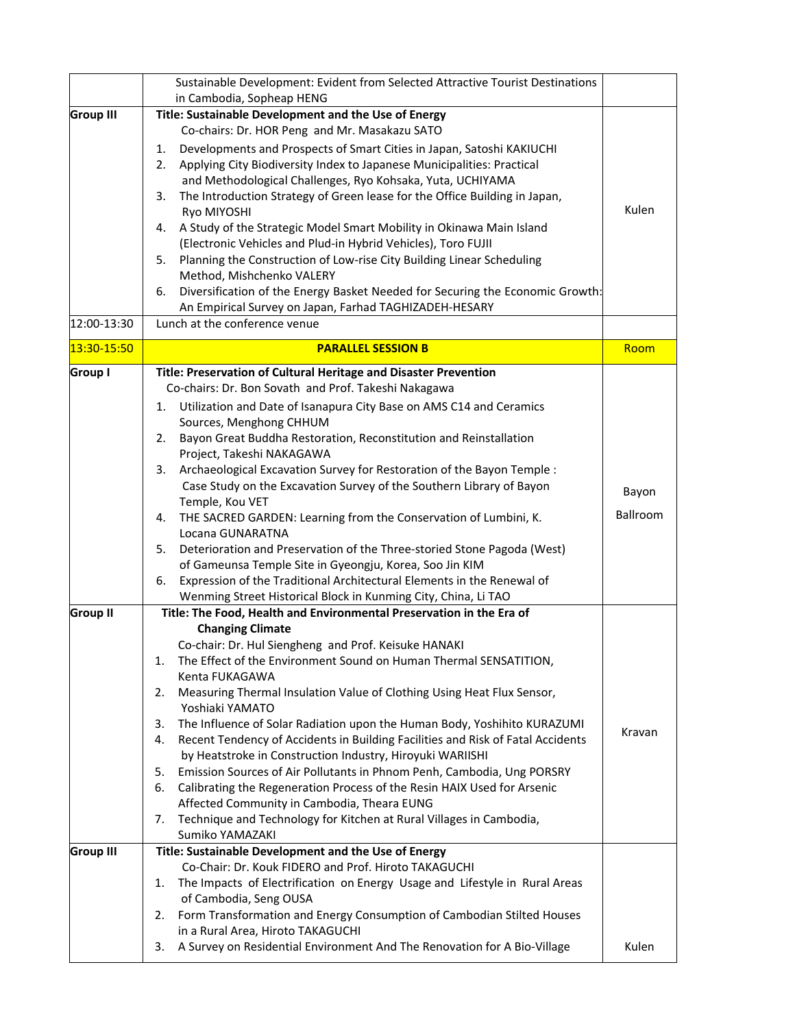|                                 | Sustainable Development: Evident from Selected Attractive Tourist Destinations<br>in Cambodia, Sopheap HENG                                                                                                                                                                                                                                                                                                                                                                                                                                                                                                                                                                                                                                                                                                                                                                                                     |                   |
|---------------------------------|-----------------------------------------------------------------------------------------------------------------------------------------------------------------------------------------------------------------------------------------------------------------------------------------------------------------------------------------------------------------------------------------------------------------------------------------------------------------------------------------------------------------------------------------------------------------------------------------------------------------------------------------------------------------------------------------------------------------------------------------------------------------------------------------------------------------------------------------------------------------------------------------------------------------|-------------------|
| <b>Group III</b><br>12:00-13:30 | Title: Sustainable Development and the Use of Energy<br>Co-chairs: Dr. HOR Peng and Mr. Masakazu SATO<br>Developments and Prospects of Smart Cities in Japan, Satoshi KAKIUCHI<br>1.<br>Applying City Biodiversity Index to Japanese Municipalities: Practical<br>2.<br>and Methodological Challenges, Ryo Kohsaka, Yuta, UCHIYAMA<br>The Introduction Strategy of Green lease for the Office Building in Japan,<br>3.<br>Ryo MIYOSHI<br>A Study of the Strategic Model Smart Mobility in Okinawa Main Island<br>4.<br>(Electronic Vehicles and Plud-in Hybrid Vehicles), Toro FUJII<br>Planning the Construction of Low-rise City Building Linear Scheduling<br>5.<br>Method, Mishchenko VALERY<br>Diversification of the Energy Basket Needed for Securing the Economic Growth:<br>6.<br>An Empirical Survey on Japan, Farhad TAGHIZADEH-HESARY<br>Lunch at the conference venue                              | Kulen             |
| 13:30-15:50                     | <b>PARALLEL SESSION B</b>                                                                                                                                                                                                                                                                                                                                                                                                                                                                                                                                                                                                                                                                                                                                                                                                                                                                                       | Room              |
|                                 | Co-chairs: Dr. Bon Sovath and Prof. Takeshi Nakagawa<br>Utilization and Date of Isanapura City Base on AMS C14 and Ceramics<br>1.<br>Sources, Menghong CHHUM<br>Bayon Great Buddha Restoration, Reconstitution and Reinstallation<br>2.<br>Project, Takeshi NAKAGAWA<br>Archaeological Excavation Survey for Restoration of the Bayon Temple :<br>3.<br>Case Study on the Excavation Survey of the Southern Library of Bayon<br>Temple, Kou VET<br>THE SACRED GARDEN: Learning from the Conservation of Lumbini, K.<br>4.<br>Locana GUNARATNA<br>Deterioration and Preservation of the Three-storied Stone Pagoda (West)<br>5.<br>of Gameunsa Temple Site in Gyeongju, Korea, Soo Jin KIM<br>Expression of the Traditional Architectural Elements in the Renewal of<br>6.<br>Wenming Street Historical Block in Kunming City, China, Li TAO                                                                     | Bayon<br>Ballroom |
| <b>Group II</b>                 | Title: The Food, Health and Environmental Preservation in the Era of<br><b>Changing Climate</b><br>Co-chair: Dr. Hul Siengheng and Prof. Keisuke HANAKI<br>The Effect of the Environment Sound on Human Thermal SENSATITION,<br>1.<br>Kenta FUKAGAWA<br>Measuring Thermal Insulation Value of Clothing Using Heat Flux Sensor,<br>2.<br>Yoshiaki YAMATO<br>The Influence of Solar Radiation upon the Human Body, Yoshihito KURAZUMI<br>3.<br>Recent Tendency of Accidents in Building Facilities and Risk of Fatal Accidents<br>4.<br>by Heatstroke in Construction Industry, Hiroyuki WARIISHI<br>Emission Sources of Air Pollutants in Phnom Penh, Cambodia, Ung PORSRY<br>5.<br>Calibrating the Regeneration Process of the Resin HAIX Used for Arsenic<br>6.<br>Affected Community in Cambodia, Theara EUNG<br>Technique and Technology for Kitchen at Rural Villages in Cambodia,<br>7.<br>Sumiko YAMAZAKI | Kravan            |
| <b>Group III</b>                | Title: Sustainable Development and the Use of Energy<br>Co-Chair: Dr. Kouk FIDERO and Prof. Hiroto TAKAGUCHI<br>1.<br>The Impacts of Electrification on Energy Usage and Lifestyle in Rural Areas<br>of Cambodia, Seng OUSA<br>Form Transformation and Energy Consumption of Cambodian Stilted Houses<br>2.<br>in a Rural Area, Hiroto TAKAGUCHI<br>A Survey on Residential Environment And The Renovation for A Bio-Village<br>3.                                                                                                                                                                                                                                                                                                                                                                                                                                                                              | Kulen             |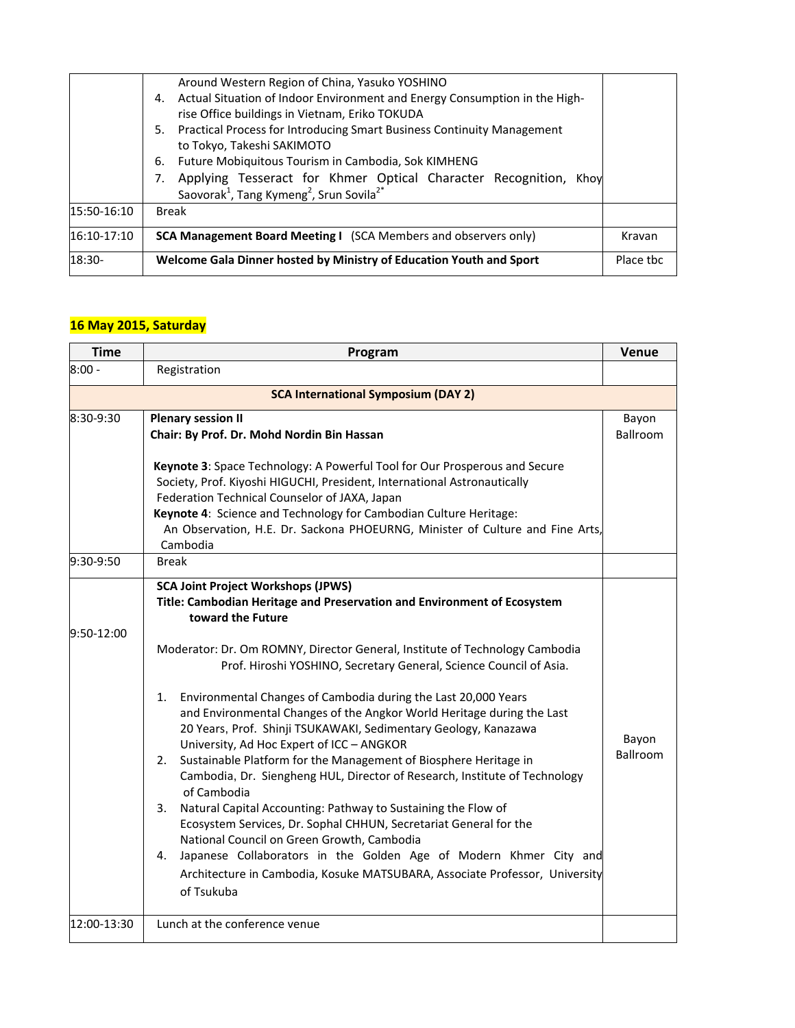| 15:50-16:10   | Around Western Region of China, Yasuko YOSHINO<br>4. Actual Situation of Indoor Environment and Energy Consumption in the High-<br>rise Office buildings in Vietnam, Eriko TOKUDA<br>Practical Process for Introducing Smart Business Continuity Management<br>5.<br>to Tokyo, Takeshi SAKIMOTO<br>Future Mobiquitous Tourism in Cambodia, Sok KIMHENG<br>6.<br>Applying Tesseract for Khmer Optical Character Recognition, Khoy<br>7.<br>Saovorak <sup>1</sup> , Tang Kymeng <sup>2</sup> , Srun Sovila <sup>2*</sup><br><b>Break</b> |           |
|---------------|----------------------------------------------------------------------------------------------------------------------------------------------------------------------------------------------------------------------------------------------------------------------------------------------------------------------------------------------------------------------------------------------------------------------------------------------------------------------------------------------------------------------------------------|-----------|
| $16:10-17:10$ | <b>SCA Management Board Meeting I</b> (SCA Members and observers only)                                                                                                                                                                                                                                                                                                                                                                                                                                                                 | Kravan    |
| 18:30-        | Welcome Gala Dinner hosted by Ministry of Education Youth and Sport                                                                                                                                                                                                                                                                                                                                                                                                                                                                    | Place the |

# **16 May 2015, Saturday**

| <b>Time</b> | Program                                                                                                                                                                                                                                                                                                                                                                                                                                                                                                                                                                                                                                                                                                                                                                                                                                                                                                                                                                                                                                                                                                   | <b>Venue</b>      |
|-------------|-----------------------------------------------------------------------------------------------------------------------------------------------------------------------------------------------------------------------------------------------------------------------------------------------------------------------------------------------------------------------------------------------------------------------------------------------------------------------------------------------------------------------------------------------------------------------------------------------------------------------------------------------------------------------------------------------------------------------------------------------------------------------------------------------------------------------------------------------------------------------------------------------------------------------------------------------------------------------------------------------------------------------------------------------------------------------------------------------------------|-------------------|
| $8:00 -$    | Registration                                                                                                                                                                                                                                                                                                                                                                                                                                                                                                                                                                                                                                                                                                                                                                                                                                                                                                                                                                                                                                                                                              |                   |
|             | <b>SCA International Symposium (DAY 2)</b>                                                                                                                                                                                                                                                                                                                                                                                                                                                                                                                                                                                                                                                                                                                                                                                                                                                                                                                                                                                                                                                                |                   |
| 8:30-9:30   | <b>Plenary session II</b><br>Chair: By Prof. Dr. Mohd Nordin Bin Hassan                                                                                                                                                                                                                                                                                                                                                                                                                                                                                                                                                                                                                                                                                                                                                                                                                                                                                                                                                                                                                                   | Bayon<br>Ballroom |
|             | Keynote 3: Space Technology: A Powerful Tool for Our Prosperous and Secure<br>Society, Prof. Kiyoshi HIGUCHI, President, International Astronautically<br>Federation Technical Counselor of JAXA, Japan<br>Keynote 4: Science and Technology for Cambodian Culture Heritage:<br>An Observation, H.E. Dr. Sackona PHOEURNG, Minister of Culture and Fine Arts,<br>Cambodia                                                                                                                                                                                                                                                                                                                                                                                                                                                                                                                                                                                                                                                                                                                                 |                   |
| 9:30-9:50   | <b>Break</b>                                                                                                                                                                                                                                                                                                                                                                                                                                                                                                                                                                                                                                                                                                                                                                                                                                                                                                                                                                                                                                                                                              |                   |
| 9:50-12:00  | <b>SCA Joint Project Workshops (JPWS)</b><br>Title: Cambodian Heritage and Preservation and Environment of Ecosystem<br>toward the Future<br>Moderator: Dr. Om ROMNY, Director General, Institute of Technology Cambodia<br>Prof. Hiroshi YOSHINO, Secretary General, Science Council of Asia.<br>Environmental Changes of Cambodia during the Last 20,000 Years<br>1.<br>and Environmental Changes of the Angkor World Heritage during the Last<br>20 Years, Prof. Shinji TSUKAWAKI, Sedimentary Geology, Kanazawa<br>University, Ad Hoc Expert of ICC - ANGKOR<br>Sustainable Platform for the Management of Biosphere Heritage in<br>2.<br>Cambodia, Dr. Siengheng HUL, Director of Research, Institute of Technology<br>of Cambodia<br>Natural Capital Accounting: Pathway to Sustaining the Flow of<br>3.<br>Ecosystem Services, Dr. Sophal CHHUN, Secretariat General for the<br>National Council on Green Growth, Cambodia<br>Japanese Collaborators in the Golden Age of Modern Khmer City and<br>4.<br>Architecture in Cambodia, Kosuke MATSUBARA, Associate Professor, University<br>of Tsukuba | Bayon<br>Ballroom |
| 12:00-13:30 | Lunch at the conference venue                                                                                                                                                                                                                                                                                                                                                                                                                                                                                                                                                                                                                                                                                                                                                                                                                                                                                                                                                                                                                                                                             |                   |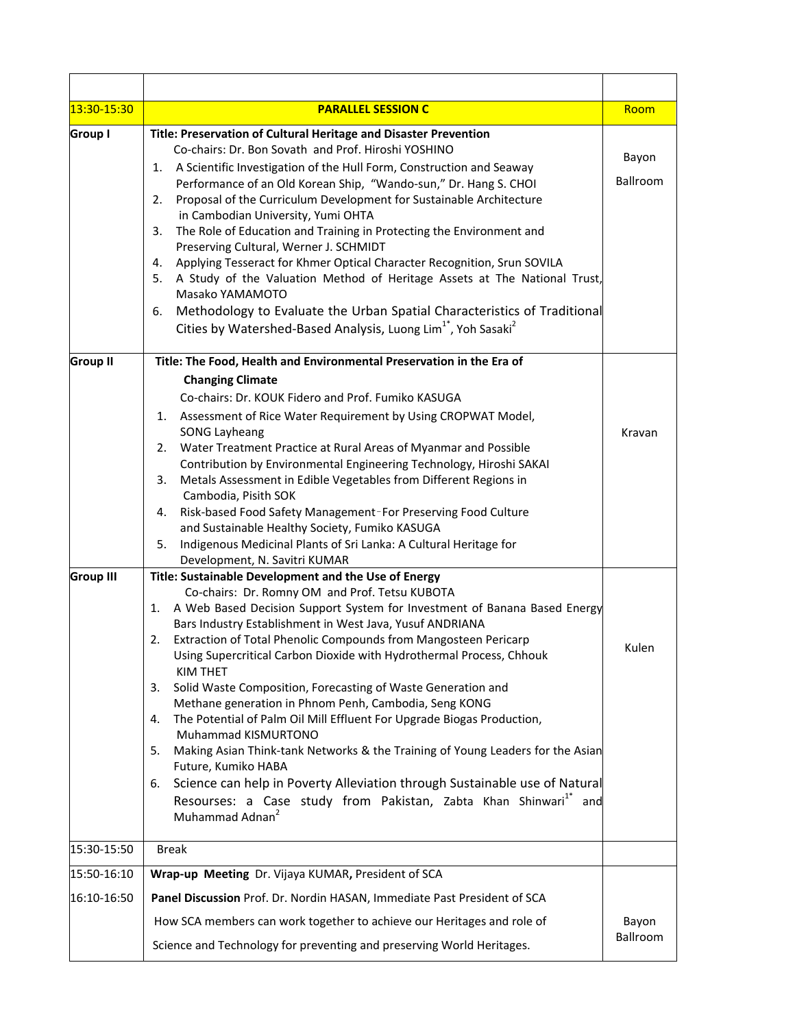| 13:30-15:30      | <b>PARALLEL SESSION C</b>                                                                                                                                                                                                                                                                                                                                                                                                                                                                                                                                                                                                                                                                                                                                                                                                                                                                                                                                                  | Room                     |
|------------------|----------------------------------------------------------------------------------------------------------------------------------------------------------------------------------------------------------------------------------------------------------------------------------------------------------------------------------------------------------------------------------------------------------------------------------------------------------------------------------------------------------------------------------------------------------------------------------------------------------------------------------------------------------------------------------------------------------------------------------------------------------------------------------------------------------------------------------------------------------------------------------------------------------------------------------------------------------------------------|--------------------------|
| Group I          | Title: Preservation of Cultural Heritage and Disaster Prevention<br>Co-chairs: Dr. Bon Sovath and Prof. Hiroshi YOSHINO<br>1. A Scientific Investigation of the Hull Form, Construction and Seaway<br>Performance of an Old Korean Ship, "Wando-sun," Dr. Hang S. CHOI<br>Proposal of the Curriculum Development for Sustainable Architecture<br>2.<br>in Cambodian University, Yumi OHTA<br>The Role of Education and Training in Protecting the Environment and<br>3.<br>Preserving Cultural, Werner J. SCHMIDT<br>Applying Tesseract for Khmer Optical Character Recognition, Srun SOVILA<br>4.<br>A Study of the Valuation Method of Heritage Assets at The National Trust,<br>5.<br>Masako YAMAMOTO<br>Methodology to Evaluate the Urban Spatial Characteristics of Traditional<br>6.<br>Cities by Watershed-Based Analysis, Luong Lim <sup>1*</sup> , Yoh Sasaki <sup>2</sup>                                                                                        | Bayon<br><b>Ballroom</b> |
| <b>Group II</b>  | Title: The Food, Health and Environmental Preservation in the Era of<br><b>Changing Climate</b><br>Co-chairs: Dr. KOUK Fidero and Prof. Fumiko KASUGA<br>Assessment of Rice Water Requirement by Using CROPWAT Model,<br>1.<br><b>SONG Layheang</b><br>Water Treatment Practice at Rural Areas of Myanmar and Possible<br>2.<br>Contribution by Environmental Engineering Technology, Hiroshi SAKAI<br>Metals Assessment in Edible Vegetables from Different Regions in<br>3.<br>Cambodia, Pisith SOK<br>Risk-based Food Safety Management-For Preserving Food Culture<br>4.<br>and Sustainable Healthy Society, Fumiko KASUGA<br>Indigenous Medicinal Plants of Sri Lanka: A Cultural Heritage for<br>5.<br>Development, N. Savitri KUMAR                                                                                                                                                                                                                                 | Kravan                   |
| <b>Group III</b> | Title: Sustainable Development and the Use of Energy<br>Co-chairs: Dr. Romny OM and Prof. Tetsu KUBOTA<br>A Web Based Decision Support System for Investment of Banana Based Energy<br>1.<br>Bars Industry Establishment in West Java, Yusuf ANDRIANA<br>Extraction of Total Phenolic Compounds from Mangosteen Pericarp<br>2.<br>Using Supercritical Carbon Dioxide with Hydrothermal Process, Chhouk<br>KIM THET<br>Solid Waste Composition, Forecasting of Waste Generation and<br>3.<br>Methane generation in Phnom Penh, Cambodia, Seng KONG<br>The Potential of Palm Oil Mill Effluent For Upgrade Biogas Production,<br>4.<br>Muhammad KISMURTONO<br>Making Asian Think-tank Networks & the Training of Young Leaders for the Asian<br>5.<br>Future, Kumiko HABA<br>Science can help in Poverty Alleviation through Sustainable use of Natural<br>6.<br>Resourses: a Case study from Pakistan, Zabta Khan Shinwari <sup>1*</sup> and<br>Muhammad Adnan <sup>2</sup> | Kulen                    |
| 15:30-15:50      | <b>Break</b>                                                                                                                                                                                                                                                                                                                                                                                                                                                                                                                                                                                                                                                                                                                                                                                                                                                                                                                                                               |                          |
| 15:50-16:10      | Wrap-up Meeting Dr. Vijaya KUMAR, President of SCA                                                                                                                                                                                                                                                                                                                                                                                                                                                                                                                                                                                                                                                                                                                                                                                                                                                                                                                         |                          |
| 16:10-16:50      | Panel Discussion Prof. Dr. Nordin HASAN, Immediate Past President of SCA<br>How SCA members can work together to achieve our Heritages and role of<br>Science and Technology for preventing and preserving World Heritages.                                                                                                                                                                                                                                                                                                                                                                                                                                                                                                                                                                                                                                                                                                                                                | Bayon<br>Ballroom        |